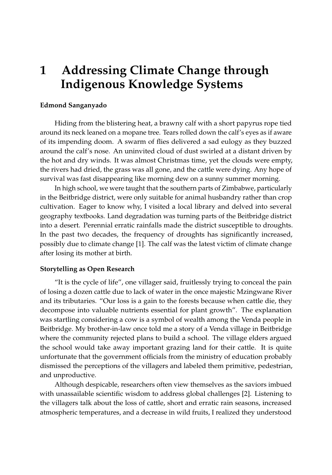# **1 Addressing Climate Change through Indigenous Knowledge Systems**

## **Edmond Sanganyado**

Hiding from the blistering heat, a brawny calf with a short papyrus rope tied around its neck leaned on a mopane tree. Tears rolled down the calf's eyes as if aware of its impending doom. A swarm of flies delivered a sad eulogy as they buzzed around the calf's nose. An uninvited cloud of dust swirled at a distant driven by the hot and dry winds. It was almost Christmas time, yet the clouds were empty, the rivers had dried, the grass was all gone, and the cattle were dying. Any hope of survival was fast disappearing like morning dew on a sunny summer morning.

In high school, we were taught that the southern parts of Zimbabwe, particularly in the Beitbridge district, were only suitable for animal husbandry rather than crop cultivation. Eager to know why, I visited a local library and delved into several geography textbooks. Land degradation was turning parts of the Beitbridge district into a desert. Perennial erratic rainfalls made the district susceptible to droughts. In the past two decades, the frequency of droughts has significantly increased, possibly due to climate change [\[1\]](#page-2-0). The calf was the latest victim of climate change after losing its mother at birth.

#### **Storytelling as Open Research**

"It is the cycle of life", one villager said, fruitlessly trying to conceal the pain of losing a dozen cattle due to lack of water in the once majestic Mzingwane River and its tributaries. "Our loss is a gain to the forests because when cattle die, they decompose into valuable nutrients essential for plant growth". The explanation was startling considering a cow is a symbol of wealth among the Venda people in Beitbridge. My brother-in-law once told me a story of a Venda village in Beitbridge where the community rejected plans to build a school. The village elders argued the school would take away important grazing land for their cattle. It is quite unfortunate that the government officials from the ministry of education probably dismissed the perceptions of the villagers and labeled them primitive, pedestrian, and unproductive.

Although despicable, researchers often view themselves as the saviors imbued with unassailable scientific wisdom to address global challenges [\[2\]](#page-2-1). Listening to the villagers talk about the loss of cattle, short and erratic rain seasons, increased atmospheric temperatures, and a decrease in wild fruits, I realized they understood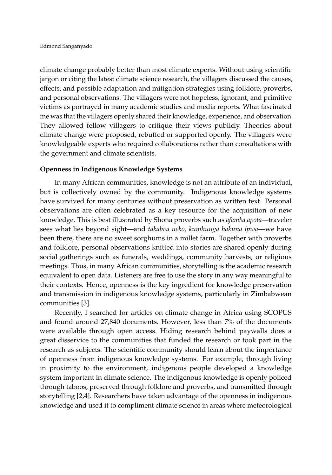climate change probably better than most climate experts. Without using scientific jargon or citing the latest climate science research, the villagers discussed the causes, effects, and possible adaptation and mitigation strategies using folklore, proverbs, and personal observations. The villagers were not hopeless, ignorant, and primitive victims as portrayed in many academic studies and media reports. What fascinated me was that the villagers openly shared their knowledge, experience, and observation. They allowed fellow villagers to critique their views publicly. Theories about climate change were proposed, rebuffed or supported openly. The villagers were knowledgeable experts who required collaborations rather than consultations with the government and climate scientists.

## **Openness in Indigenous Knowledge Systems**

In many African communities, knowledge is not an attribute of an individual, but is collectively owned by the community. Indigenous knowledge systems have survived for many centuries without preservation as written text. Personal observations are often celebrated as a key resource for the acquisition of new knowledge. This is best illustrated by Shona proverbs such as *afamba apota*—traveler sees what lies beyond sight—and *takabva neko, kumhunga hakuna ipwa*—we have been there, there are no sweet sorghums in a millet farm. Together with proverbs and folklore, personal observations knitted into stories are shared openly during social gatherings such as funerals, weddings, community harvests, or religious meetings. Thus, in many African communities, storytelling is the academic research equivalent to open data. Listeners are free to use the story in any way meaningful to their contexts. Hence, openness is the key ingredient for knowledge preservation and transmission in indigenous knowledge systems, particularly in Zimbabwean communities [\[3\]](#page-2-2).

Recently, I searched for articles on climate change in Africa using SCOPUS and found around 27,840 documents. However, less than 7% of the documents were available through open access. Hiding research behind paywalls does a great disservice to the communities that funded the research or took part in the research as subjects. The scientific community should learn about the importance of openness from indigenous knowledge systems. For example, through living in proximity to the environment, indigenous people developed a knowledge system important in climate science. The indigenous knowledge is openly policed through taboos, preserved through folklore and proverbs, and transmitted through storytelling [\[2](#page-2-1)[,4\]](#page-2-3). Researchers have taken advantage of the openness in indigenous knowledge and used it to compliment climate science in areas where meteorological